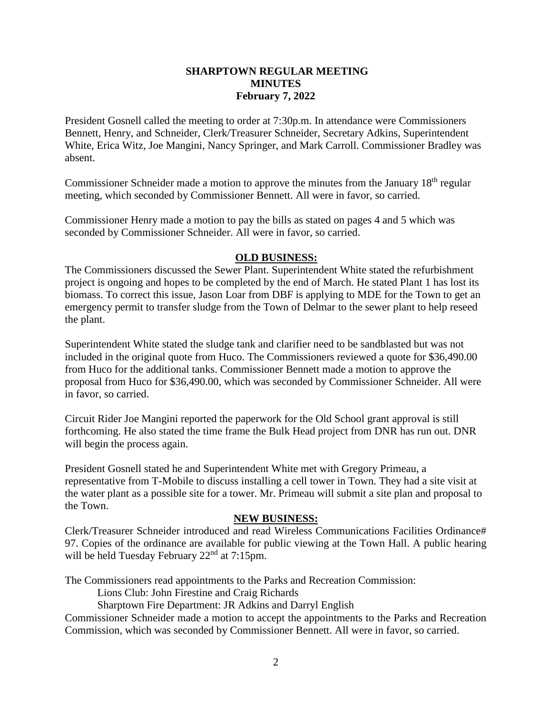## **SHARPTOWN REGULAR MEETING MINUTES February 7, 2022**

President Gosnell called the meeting to order at 7:30p.m. In attendance were Commissioners Bennett, Henry, and Schneider, Clerk/Treasurer Schneider, Secretary Adkins, Superintendent White, Erica Witz, Joe Mangini, Nancy Springer, and Mark Carroll. Commissioner Bradley was absent.

Commissioner Schneider made a motion to approve the minutes from the January 18th regular meeting, which seconded by Commissioner Bennett. All were in favor, so carried.

Commissioner Henry made a motion to pay the bills as stated on pages 4 and 5 which was seconded by Commissioner Schneider. All were in favor, so carried.

## **OLD BUSINESS:**

The Commissioners discussed the Sewer Plant. Superintendent White stated the refurbishment project is ongoing and hopes to be completed by the end of March. He stated Plant 1 has lost its biomass. To correct this issue, Jason Loar from DBF is applying to MDE for the Town to get an emergency permit to transfer sludge from the Town of Delmar to the sewer plant to help reseed the plant.

Superintendent White stated the sludge tank and clarifier need to be sandblasted but was not included in the original quote from Huco. The Commissioners reviewed a quote for \$36,490.00 from Huco for the additional tanks. Commissioner Bennett made a motion to approve the proposal from Huco for \$36,490.00, which was seconded by Commissioner Schneider. All were in favor, so carried.

Circuit Rider Joe Mangini reported the paperwork for the Old School grant approval is still forthcoming. He also stated the time frame the Bulk Head project from DNR has run out. DNR will begin the process again.

President Gosnell stated he and Superintendent White met with Gregory Primeau, a representative from T-Mobile to discuss installing a cell tower in Town. They had a site visit at the water plant as a possible site for a tower. Mr. Primeau will submit a site plan and proposal to the Town.

## **NEW BUSINESS:**

Clerk/Treasurer Schneider introduced and read Wireless Communications Facilities Ordinance# 97. Copies of the ordinance are available for public viewing at the Town Hall. A public hearing will be held Tuesday February 22<sup>nd</sup> at 7:15pm.

The Commissioners read appointments to the Parks and Recreation Commission:

Lions Club: John Firestine and Craig Richards

Sharptown Fire Department: JR Adkins and Darryl English

Commissioner Schneider made a motion to accept the appointments to the Parks and Recreation Commission, which was seconded by Commissioner Bennett. All were in favor, so carried.